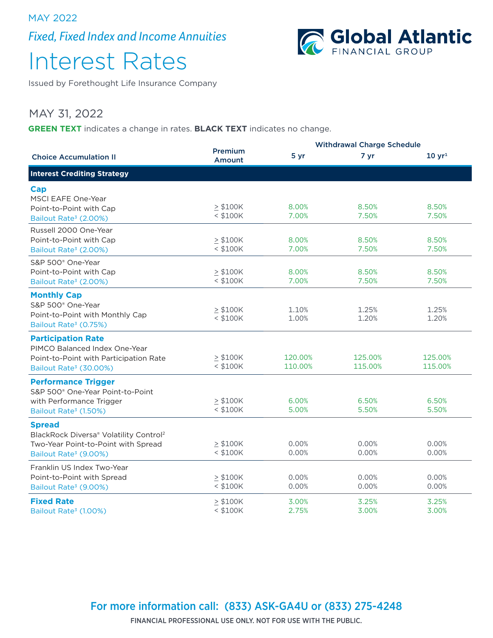MAY 2022

*Fixed, Fixed Index and Income Annuities*



# Interest Rates

Issued by Forethought Life Insurance Company

### MAY 31, 2022

**GREEN TEXT** indicates a change in rates. **BLACK TEXT** indicates no change.

|                                                    |                             | <b>Withdrawal Charge Schedule</b> |         |                   |  |
|----------------------------------------------------|-----------------------------|-----------------------------------|---------|-------------------|--|
| <b>Choice Accumulation II</b>                      | Premium<br>Amount           | 5 yr                              | 7 yr    | $10 \text{ yr}^1$ |  |
| <b>Interest Crediting Strategy</b>                 |                             |                                   |         |                   |  |
| Cap                                                |                             |                                   |         |                   |  |
| MSCI EAFE One-Year                                 |                             |                                   |         |                   |  |
| Point-to-Point with Cap                            | $\geq$ \$100K               | 8.00%                             | 8.50%   | 8.50%             |  |
| Bailout Rate <sup>3</sup> (2.00%)                  | $<$ \$100K                  | 7.00%                             | 7.50%   | 7.50%             |  |
| Russell 2000 One-Year                              |                             |                                   |         |                   |  |
| Point-to-Point with Cap                            | $\geq$ \$100K               | 8.00%                             | 8.50%   | 8.50%             |  |
| Bailout Rate <sup>3</sup> (2.00%)                  | $<$ \$100K                  | 7.00%                             | 7.50%   | 7.50%             |  |
| S&P 500 <sup>®</sup> One-Year                      |                             |                                   |         |                   |  |
| Point-to-Point with Cap                            | > \$100K                    | 8.00%                             | 8.50%   | 8.50%             |  |
| Bailout Rate <sup>3</sup> (2.00%)                  | $<$ \$100K                  | 7.00%                             | 7.50%   | 7.50%             |  |
|                                                    |                             |                                   |         |                   |  |
| <b>Monthly Cap</b>                                 |                             |                                   |         |                   |  |
| S&P 500 <sup>®</sup> One-Year                      | $\geq$ \$100K               | 1.10%                             | 1.25%   | 1.25%             |  |
| Point-to-Point with Monthly Cap                    | $<$ \$100K                  | 1.00%                             | 1.20%   | 1.20%             |  |
| Bailout Rate <sup>3</sup> (0.75%)                  |                             |                                   |         |                   |  |
| <b>Participation Rate</b>                          |                             |                                   |         |                   |  |
| PIMCO Balanced Index One-Year                      |                             |                                   |         |                   |  |
| Point-to-Point with Participation Rate             | > \$100K                    | 120.00%                           | 125.00% | 125.00%           |  |
| Bailout Rate <sup>3</sup> (30.00%)                 | $<$ \$100K                  | 110.00%                           | 115.00% | 115.00%           |  |
| <b>Performance Trigger</b>                         |                             |                                   |         |                   |  |
| S&P 500 <sup>®</sup> One-Year Point-to-Point       |                             |                                   |         |                   |  |
| with Performance Trigger                           | > \$100K                    | 6.00%                             | 6.50%   | 6.50%             |  |
| Bailout Rate <sup>3</sup> (1.50%)                  | $<$ \$100K                  | 5.00%                             | 5.50%   | 5.50%             |  |
|                                                    |                             |                                   |         |                   |  |
| <b>Spread</b>                                      |                             |                                   |         |                   |  |
| BlackRock Diversa® Volatility Control <sup>2</sup> |                             |                                   |         |                   |  |
| Two-Year Point-to-Point with Spread                | $\geq$ \$100K               | 0.00%                             | 0.00%   | 0.00%             |  |
| Bailout Rate <sup>3</sup> (9.00%)                  | $<$ \$100K                  | 0.00%                             | 0.00%   | 0.00%             |  |
| Franklin US Index Two-Year                         |                             |                                   |         |                   |  |
| Point-to-Point with Spread                         | $\geq$ \$100K               | 0.00%                             | 0.00%   | 0.00%             |  |
| Bailout Rate <sup>3</sup> (9.00%)                  | $<$ \$100K                  | 0.00%                             | 0.00%   | 0.00%             |  |
| <b>Fixed Rate</b>                                  |                             |                                   | 3.25%   | 3.25%             |  |
|                                                    | $\geq$ \$100K<br>$<$ \$100K | 3.00%<br>2.75%                    | 3.00%   | 3.00%             |  |
| Bailout Rate <sup>3</sup> (1.00%)                  |                             |                                   |         |                   |  |

### For more information call: (833) ASK-GA4U or (833) 275-4248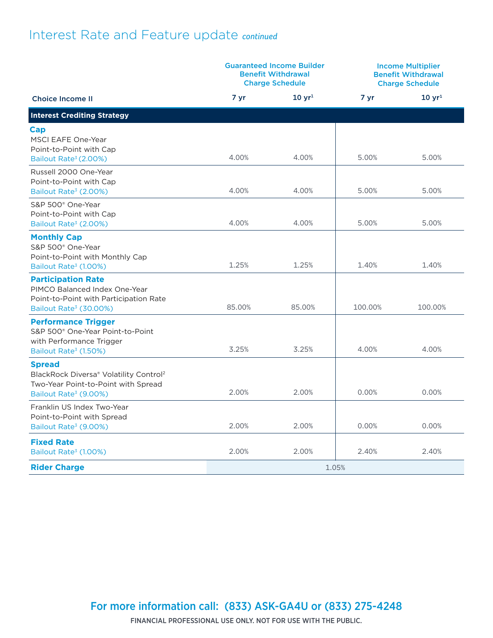# Interest Rate and Feature update *continued*

| <b>Guaranteed Income Builder</b><br><b>Benefit Withdrawal</b><br><b>Charge Schedule</b>                                                         |        | <b>Income Multiplier</b><br><b>Benefit Withdrawal</b><br><b>Charge Schedule</b> |         |             |
|-------------------------------------------------------------------------------------------------------------------------------------------------|--------|---------------------------------------------------------------------------------|---------|-------------|
| <b>Choice Income II</b>                                                                                                                         | 7 yr   | $10 \, yr^1$                                                                    | 7 yr    | $10 \, yr1$ |
| <b>Interest Crediting Strategy</b>                                                                                                              |        |                                                                                 |         |             |
| Cap<br>MSCI EAFE One-Year<br>Point-to-Point with Cap<br>Bailout Rate <sup>3</sup> (2.00%)                                                       | 4.00%  | 4.00%                                                                           | 5.00%   | 5.00%       |
| Russell 2000 One-Year<br>Point-to-Point with Cap<br>Bailout Rate <sup>3</sup> (2.00%)                                                           | 4.00%  | 4.00%                                                                           | 5.00%   | 5.00%       |
| S&P 500 <sup>®</sup> One-Year<br>Point-to-Point with Cap<br>Bailout Rate <sup>3</sup> (2.00%)                                                   | 4.00%  | 4.00%                                                                           | 5.00%   | 5.00%       |
| <b>Monthly Cap</b><br>S&P 500 <sup>®</sup> One-Year<br>Point-to-Point with Monthly Cap<br>Bailout Rate <sup>3</sup> (1.00%)                     | 1.25%  | 1.25%                                                                           | 1.40%   | 1.40%       |
| <b>Participation Rate</b><br>PIMCO Balanced Index One-Year<br>Point-to-Point with Participation Rate<br>Bailout Rate <sup>3</sup> (30.00%)      | 85.00% | 85.00%                                                                          | 100.00% | 100.00%     |
| <b>Performance Trigger</b><br>S&P 500 <sup>®</sup> One-Year Point-to-Point<br>with Performance Trigger<br>Bailout Rate <sup>3</sup> (1.50%)     | 3.25%  | 3.25%                                                                           | 4.00%   | 4.00%       |
| <b>Spread</b><br>BlackRock Diversa® Volatility Control <sup>2</sup><br>Two-Year Point-to-Point with Spread<br>Bailout Rate <sup>3</sup> (9.00%) | 2.00%  | 2.00%                                                                           | 0.00%   | 0.00%       |
| Franklin US Index Two-Year<br>Point-to-Point with Spread<br>Bailout Rate <sup>3</sup> (9.00%)                                                   | 2.00%  | 2.00%                                                                           | 0.00%   | 0.00%       |
| <b>Fixed Rate</b><br>Bailout Rate <sup>3</sup> (1.00%)                                                                                          | 2.00%  | 2.00%                                                                           | 2.40%   | 2.40%       |
| <b>Rider Charge</b>                                                                                                                             | 1.05%  |                                                                                 |         |             |

For more information call: (833) ASK-GA4U or (833) 275-4248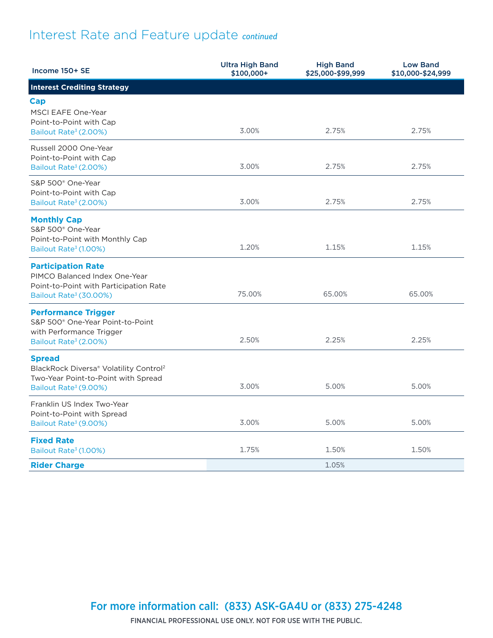# Interest Rate and Feature update *continued*

| Income 150+ SE                                                               | <b>Ultra High Band</b><br>\$100,000+ | <b>High Band</b><br>\$25,000-\$99,999 | <b>Low Band</b><br>\$10,000-\$24,999 |
|------------------------------------------------------------------------------|--------------------------------------|---------------------------------------|--------------------------------------|
| <b>Interest Crediting Strategy</b>                                           |                                      |                                       |                                      |
| Cap                                                                          |                                      |                                       |                                      |
| <b>MSCI EAFE One-Year</b>                                                    |                                      |                                       |                                      |
| Point-to-Point with Cap<br>Bailout Rate <sup>3</sup> (2.00%)                 | 3.00%                                | 2.75%                                 | 2.75%                                |
| Russell 2000 One-Year                                                        |                                      |                                       |                                      |
| Point-to-Point with Cap                                                      |                                      |                                       |                                      |
| Bailout Rate <sup>3</sup> (2.00%)                                            | 3.00%                                | 2.75%                                 | 2.75%                                |
| S&P 500 <sup>®</sup> One-Year<br>Point-to-Point with Cap                     |                                      |                                       |                                      |
| Bailout Rate <sup>3</sup> (2.00%)                                            | 3.00%                                | 2.75%                                 | 2.75%                                |
| <b>Monthly Cap</b>                                                           |                                      |                                       |                                      |
| S&P 500 <sup>®</sup> One-Year<br>Point-to-Point with Monthly Cap             |                                      |                                       |                                      |
| Bailout Rate <sup>3</sup> (1.00%)                                            | 1.20%                                | 1.15%                                 | 1.15%                                |
| <b>Participation Rate</b>                                                    |                                      |                                       |                                      |
| PIMCO Balanced Index One-Year                                                |                                      |                                       |                                      |
| Point-to-Point with Participation Rate<br>Bailout Rate <sup>3</sup> (30.00%) | 75.00%                               | 65.00%                                | 65.00%                               |
| <b>Performance Trigger</b>                                                   |                                      |                                       |                                      |
| S&P 500 <sup>®</sup> One-Year Point-to-Point                                 |                                      |                                       |                                      |
| with Performance Trigger<br>Bailout Rate <sup>3</sup> (2.00%)                | 2.50%                                | 2.25%                                 | 2.25%                                |
| <b>Spread</b>                                                                |                                      |                                       |                                      |
| BlackRock Diversa® Volatility Control <sup>2</sup>                           |                                      |                                       |                                      |
| Two-Year Point-to-Point with Spread<br>Bailout Rate <sup>3</sup> (9.00%)     | 3.00%                                | 5.00%                                 | 5.00%                                |
| Franklin US Index Two-Year                                                   |                                      |                                       |                                      |
| Point-to-Point with Spread                                                   | 3.00%                                | 5.00%                                 | 5.00%                                |
| Bailout Rate <sup>3</sup> (9.00%)                                            |                                      |                                       |                                      |
| <b>Fixed Rate</b><br>Bailout Rate <sup>3</sup> (1.00%)                       | 1.75%                                | 1.50%                                 | 1.50%                                |
| <b>Rider Charge</b>                                                          |                                      | 1.05%                                 |                                      |

For more information call: (833) ASK-GA4U or (833) 275-4248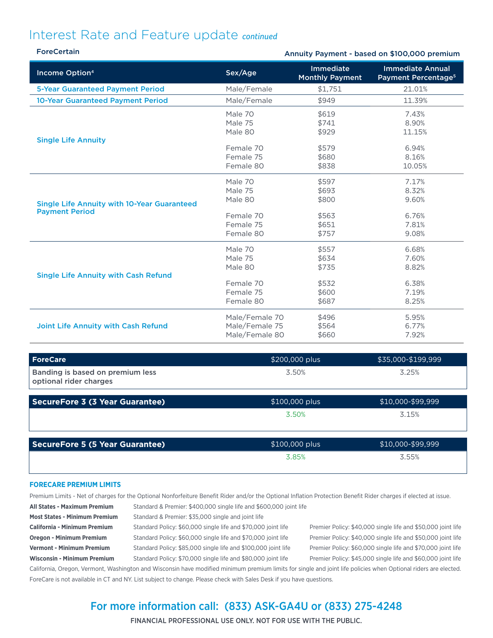### Interest Rate and Feature update *continued*

| <b>ForeCertain</b>                                                          |                                                                      |                                                    | Annuity Payment - based on \$100,000 premium               |
|-----------------------------------------------------------------------------|----------------------------------------------------------------------|----------------------------------------------------|------------------------------------------------------------|
| Income Option <sup>4</sup>                                                  | Sex/Age                                                              | Immediate<br><b>Monthly Payment</b>                | <b>Immediate Annual</b><br>Payment Percentage <sup>5</sup> |
| <b>5-Year Guaranteed Payment Period</b>                                     | Male/Female                                                          | \$1,751                                            | 21.01%                                                     |
| 10-Year Guaranteed Payment Period                                           | Male/Female                                                          | \$949                                              | 11.39%                                                     |
|                                                                             | Male 70<br>Male 75<br>Male 80                                        | \$619<br>\$741<br>\$929                            | 7.43%<br>8.90%<br>11.15%                                   |
| <b>Single Life Annuity</b>                                                  | Female 70<br>Female 75<br>Female 80                                  | \$579<br>\$680<br>\$838                            | 6.94%<br>8.16%<br>10.05%                                   |
| <b>Single Life Annuity with 10-Year Guaranteed</b><br><b>Payment Period</b> | Male 70<br>Male 75<br>Male 80<br>Female 70<br>Female 75<br>Female 80 | \$597<br>\$693<br>\$800<br>\$563<br>\$651<br>\$757 | 7.17%<br>8.32%<br>9.60%<br>6.76%<br>7.81%<br>9.08%         |
| <b>Single Life Annuity with Cash Refund</b>                                 | Male 70<br>Male 75<br>Male 80<br>Female 70<br>Female 75<br>Female 80 | \$557<br>\$634<br>\$735<br>\$532<br>\$600<br>\$687 | 6.68%<br>7.60%<br>8.82%<br>6.38%<br>7.19%<br>8.25%         |
| <b>Joint Life Annuity with Cash Refund</b>                                  | Male/Female 70<br>Male/Female 75<br>Male/Female 80                   | \$496<br>\$564<br>\$660                            | 5.95%<br>6.77%<br>7.92%                                    |

| <b>ForeCare</b>                                            | \$200,000 plus | \$35,000-\$199,999 |
|------------------------------------------------------------|----------------|--------------------|
| Banding is based on premium less<br>optional rider charges | 3.50%          | 3.25%              |

| 3.15% |
|-------|

| SecureFore 5 (5 Year Guarantee) | \$100,000 plus | \$10,000-\$99,999 |  |
|---------------------------------|----------------|-------------------|--|
|                                 | 3.85%          | 3.55%             |  |

### **FORECARE PREMIUM LIMITS**

Premium Limits - Net of charges for the Optional Nonforfeiture Benefit Rider and/or the Optional Inflation Protection Benefit Rider charges if elected at issue.

**All States - Maximum Premium** Standard & Premier: \$400,000 single life and \$600,000 joint life

**Most States - Minimum Premium** Standard & Premier: \$35,000 single and joint life California - Minimum Premium Standard Policy: \$60,000 single life and \$70,000 joint life Premier Policy: \$40,000 single life and \$50,000 joint life **Oregon - Minimum Premium** Standard Policy: \$60,000 single life and \$70,000 joint life Premier Policy: \$40,000 single life and \$50,000 joint life Vermont - Minimum Premium Standard Policy: \$85,000 single life and \$100,000 joint life Premier Policy: \$60,000 single life and \$70,000 joint life

Wisconsin - Minimum Premium Standard Policy: \$70,000 single life and \$80,000 joint life Premier Policy: \$45,000 single life and \$60,000 joint life

California, Oregon, Vermont, Washington and Wisconsin have modified minimum premium limits for single and joint life policies when Optional riders are elected. ForeCare is not available in CT and NY. List subject to change. Please check with Sales Desk if you have questions.

### For more information call: (833) ASK-GA4U or (833) 275-4248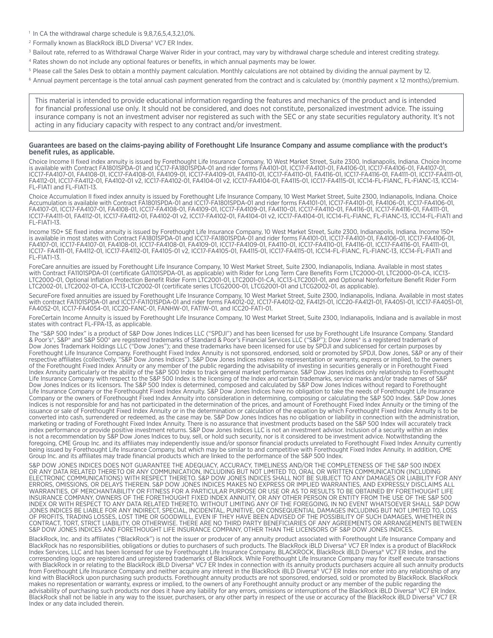#### <sup>1</sup> In CA the withdrawal charge schedule is 9,8,7,6,5,4,3,2,1,0%.

- 2 Formally known as BlackRock iBLD Diversa® VC7 ER Index.
- <sup>3</sup> Bailout rate, referred to as Withdrawal Charge Waiver Rider in your contract, may vary by withdrawal charge schedule and interest crediting strategy.
- 4 Rates shown do not include any optional features or benefits, in which annual payments may be lower.
- <sup>5</sup> Please call the Sales Desk to obtain a monthly payment calculation. Monthly calculations are not obtained by dividing the annual payment by 12.
- 6 Annual payment percentage is the total annual cash payment generated from the contract and is calculated by: (monthly payment x 12 months)/premium.

This material is intended to provide educational information regarding the features and mechanics of the product and is intended for financial professional use only. It should not be considered, and does not constitute, personalized investment advice. The issuing insurance company is not an investment adviser nor registered as such with the SEC or any state securities regulatory authority. It's not acting in any fiduciary capacity with respect to any contract and/or investment.

#### Guarantees are based on the claims-paying ability of Forethought Life Insurance Company and assume compliance with the product's benefit rules, as applicable.

Choice Income II fixed index annuity is issued by Forethought Life Insurance Company, 10 West Market Street, Suite 2300, Indianapolis, Indiana. Choice Income is available with Contract FA1801SPDA-01 and ICC17-FA1801SPDA-01 and rider forms FA4101-01, ICC17-FA4101-01, FA4106-01, ICC17-FA4106-01, FA4107-01, ICC17-FA4107-01, FA4108-01, ICC17-FA4108-01, FA4109-01, ICC17-FA4109-01, FA4110-01, ICC17-FA4110-01, FA4116-01, ICC17-FA4116-01, FA4111-01, ICC17-FA4111-01, FA4112-01, ICC17-FA4112-01, FA4102-01 v2, ICC17-FA4102-01, FA4104-01 v2, ICC17-FA4104-01, FA4115-01, ICC17-FA4115-01, ICC14-FL-FIANC, FL-FIANC-13, ICC14- FL-FIATI and FL-FIATI-13.

Choice Accumulation II fixed index annuity is issued by Forethought Life Insurance Company, 10 West Market Street, Suite 2300, Indianapolis, Indiana. Choice Accumulation is available with Contract FA1801SPDA-01 and ICC17-FA1801SPDA-01 and rider forms FA4101-01, ICC17-FA4101-01, FA4106-01, ICC17-FA4106-01, FA4107-01, ICC17-FA4107-01, FA4108-01, ICC17-FA4108-01, FA4109-01, ICC17-FA4109-01, FA4110-01, ICC17-FA4110-01, FA4116-01, ICC17-FA4116-01, FA4111-01, ICC17-FA4111-01, FA4112-01, ICC17-FA4112-01, FA4102-01 v2, ICC17-FA4102-01, FA4104-01 v2, ICC17-FA4104-01, ICC14-FL-FIANC, FL-FIANC-13, ICC14-FL-FIATI and FL-FIATI-13.

Income 150+ SE fixed index annuity is issued by Forethought Life Insurance Company, 10 West Market Street, Suite 2300, Indianapolis, Indiana. Income 150+ is available in most states with Contract FA1801SPDA-01 and ICC17-FA1801SPDA-01 and rider forms FA4101-01, ICC17-FA4101-01, FA4106-01, ICC17-FA4106-01, FA4107-01, ICC17-FA4107-01, FA4108-01, ICC17-FA4108-01, FA4109-01, ICC17-FA4109-01, FA4110-01, ICC17-FA4110-01, FA4116-01, ICC17-FA4116-01, FA4111-01, ICC17- FA4111-01, FA4112-01, ICC17-FA4112-01, FA4105-01 v2, ICC17-FA4105-01, FA4115-01, ICC17-FA4115-01, ICC14-FL-FIANC, FL-FIANC-13, ICC14-FL-FIATI and FL-FIATI-13.

ForeCare annuities are issued by Forethought Life Insurance Company, 10 West Market Street, Suite 2300, Indianapolis, Indiana. Available in most states with Contract FA1101SPDA-01 (certificate GA1101SPDA-01, as applicable) with Rider for Long Term Care Benefits Form LTC2000-01, LTC2000-01-CA, ICC13- LTC2000-01, Optional Inflation Protection Benefit Rider Form LTC2001-01, LTC2001-01-CA, ICC13-LTC2001-01, and Optional Nonforfeiture Benefit Rider Form LTC2002-01, LTC2002-01-CA, ICC13-LTC2002-01 (certificate series LTCG2000-01, LTCG2001-01 and LTCG2002-01, as applicable).

SecureFore fixed annuities are issued by Forethought Life Insurance Company, 10 West Market Street, Suite 2300, Indianapolis, Indiana. Available in most states with contract FA1101SPDA-01 and ICC17-FA1101SPDA-01 and rider forms FA4012-02, ICC17-FA4012-02, FA4121-01, ICC20-FA4121-01, FA4051-01, ICC17-FA4051-01, FA4052-01, ICC17-FA4054-01, ICC20-FANC-01, FANHW-01, FATIW-01, and ICC20-FATI-01.

ForeCertain Income Annuity is issued by Forethought Life Insurance Company, 10 West Market Street, Suite 2300, Indianapolis, Indiana and is available in most states with contract FL-FPA-13, as applicable.

The "S&P 500 Index" is a product of S&P Dow Jones Indices LLC ("SPDJI") and has been licensed for use by Forethought Life Insurance Company. Standard & Poor's®, S&P® and S&P 500® are registered trademarks of Standard & Poor's Financial Services LLC ("S&P"); Dow Jones® is a registered trademark of Dow Jones Trademark Holdings LLC ("Dow Jones"); and these trademarks have been licensed for use by SPDJI and sublicensed for certain purposes by Forethought Life Insurance Company. Forethought Fixed Index Annuity is not sponsored, endorsed, sold or promoted by SPDJI, Dow Jones, S&P or any of their respective affiliates (collectively, "S&P Dow Jones Indices"). S&P Dow Jones Indices makes no representation or warranty, express or implied, to the owners of the Forethought Fixed Index Annuity or any member of the public regarding the advisability of investing in securities generally or in Forethought Fixed Index Annuity particularly or the ability of the S&P 500 Index to track general market performance. S&P Dow Jones Indices only relationship to Forethought Life Insurance Company with respect to the S&P 500 Index is the licensing of the Index and certain trademarks, service marks and/or trade names of S&P Dow Jones Indices or its licensors. The S&P 500 Index is determined, composed and calculated by S&P Dow Jones Indices without regard to Forethought Life Insurance Company or the Forethought Fixed Index Annuity. S&P Dow Jones Indices have no obligation to take the needs of Forethought Life Insurance Company or the owners of Forethought Fixed Index Annuity into consideration in determining, composing or calculating the S&P 500 Index. S&P Dow Jones Indices is not responsible for and has not participated in the determination of the prices, and amount of Forethought Fixed Index Annuity or the timing of the issuance or sale of Forethought Fixed Index Annuity or in the determination or calculation of the equation by which Forethought Fixed Index Annuity is to be converted into cash, surrendered or redeemed, as the case may be. S&P Dow Jones Indices has no obligation or liability in connection with the administration, marketing or trading of Forethought Fixed Index Annuity. There is no assurance that investment products based on the S&P 500 Index will accurately track index performance or provide positive investment returns. S&P Dow Jones Indices LLC is not an investment advisor. Inclusion of a security within an index is not a recommendation by S&P Dow Jones Indices to buy, sell, or hold such security, nor is it considered to be investment advice. Notwithstanding the foregoing, CME Group Inc. and its affiliates may independently issue and/or sponsor financial products unrelated to Forethought Fixed Index Annuity currently being issued by Forethought Life Insurance Company, but which may be similar to and competitive with Forethought Fixed Index Annuity. In addition, CME Group Inc. and its affiliates may trade financial products which are linked to the performance of the S&P 500 Index.

S&P DOW JONES INDICES DOES NOT GUARANTEE THE ADEQUACY, ACCURACY, TIMELINESS AND/OR THE COMPLETENESS OF THE S&P 500 INDEX OR ANY DATA RELATED THERETO OR ANY COMMUNICATION, INCLUDING BUT NOT LIMITED TO, ORAL OR WRITTEN COMMUNICATION (INCLUDING ELECTRONIC COMMUNICATIONS) WITH RESPECT THERETO. S&P DOW JONES INDICES SHALL NOT BE SUBJECT TO ANY DAMAGES OR LIABILITY FOR ANY ERRORS, OMISSIONS, OR DELAYS THEREIN. S&P DOW JONES INDICES MAKES NO EXPRESS OR IMPLIED WARRANTIES, AND EXPRESSLY DISCLAIMS ALL WARRANTIES, OF MERCHANTABILITY OR FITNESS FOR A PARTICULAR PURPOSE OR USE OR AS TO RESULTS TO BE OBTAINED BY FORETHOUGHT LIFE INSURANCE COMPANY, OWNERS OF THE FORETHOUGHT FIXED INDEX ANNUITY, OR ANY OTHER PERSON OR ENTITY FROM THE USE OF THE S&P 500 INDEX OR WITH RESPECT TO ANY DATA RELATED THERETO. WITHOUT LIMITING ANY OF THE FOREGOING, IN NO EVENT WHATSOEVER SHALL S&P DOW JONES INDICES BE LIABLE FOR ANY INDIRECT, SPECIAL, INCIDENTAL, PUNITIVE, OR CONSEQUENTIAL DAMAGES INCLUDING BUT NOT LIMITED TO, LOSS OF PROFITS, TRADING LOSSES, LOST TIME OR GOODWILL, EVEN IF THEY HAVE BEEN ADVISED OF THE POSSIBILITY OF SUCH DAMAGES, WHETHER IN CONTRACT, TORT, STRICT LIABILITY, OR OTHERWISE. THERE ARE NO THIRD PARTY BENEFICIARIES OF ANY AGREEMENTS OR ARRANGEMENTS BETWEEN S&P DOW JONES INDICES AND FORETHOUGHT LIFE INSURANCE COMPANY, OTHER THAN THE LICENSORS OF S&P DOW JONES INDICES.

BlackRock, Inc. and its affiliates ("BlackRock") is not the issuer or producer of any annuity product associated with Forethought Life Insurance Company and BlackRock has no responsibilities, obligations or duties to purchasers of such products. The BlackRock iBLD Diversa® VC7 ER Index is a product of BlackRock<br>Index Services, LLC and has been licensed for use by Forethought L corresponding logos are registered and unregistered trademarks of BlackRock. While Forethought Life Insurance Company may for itself execute transactions<br>with BlackRock in or relating to the BlackRock iBLD Diversa® VC7 ER kind with BlackRock upon purchasing such products. Forethought annuity products are not sponsored, endorsed, sold or promoted by BlackRock. BlackRock makes no representation or warranty, express or implied, to the owners of any Forethought annuity product or any member of the public regarding the advisability of purchasing such products nor does it have any liability for any errors, omissions or interruptions of the BlackRock iBLD Diversa® VC7 ER Index. BlackRock shall not be liable in any way to the issuer, purchasers, or any other party in respect of the use or accuracy of the BlackRock iBLD Diversa® VC7 ER Index or any data included therein.